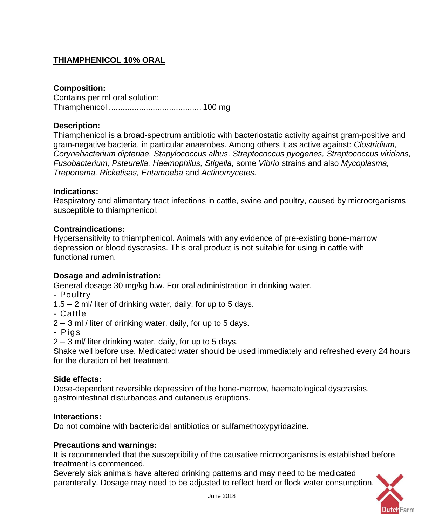# **THIAMPHENICOL 10% ORAL**

## **Composition:**

Contains per ml oral solution: Thiamphenicol ........................................ 100 mg

## **Description:**

Thiamphenicol is a broad-spectrum antibiotic with bacteriostatic activity against gram-positive and gram-negative bacteria, in particular anaerobes. Among others it as active against: *Clostridium, Corynebacterium dipteriae, Stapylococcus albus, Streptococcus pyogenes, Streptococcus viridans, Fusobacterium, Psteurella, Haemophilus, Stigella,* some *Vibrio* strains and also *Mycoplasma, Treponema, Ricketisas, Entamoeba* and *Actinomycetes.*

### **Indications:**

Respiratory and alimentary tract infections in cattle, swine and poultry, caused by microorganisms susceptible to thiamphenicol.

### **Contraindications:**

Hypersensitivity to thiamphenicol. Animals with any evidence of pre-existing bone-marrow depression or blood dyscrasias. This oral product is not suitable for using in cattle with functional rumen.

### **Dosage and administration:**

General dosage 30 mg/kg b.w. For oral administration in drinking water.

- Poultry
- 1.5 2 ml/ liter of drinking water, daily, for up to 5 days.
- Cattle
- 2 3 ml / liter of drinking water, daily, for up to 5 days.
- Pig s

2 – 3 ml/ liter drinking water, daily, for up to 5 days.

Shake well before use. Medicated water should be used immediately and refreshed every 24 hours for the duration of het treatment.

### **Side effects:**

Dose-dependent reversible depression of the bone-marrow, haematological dyscrasias, gastrointestinal disturbances and cutaneous eruptions.

### **Interactions:**

Do not combine with bactericidal antibiotics or sulfamethoxypyridazine.

### **Precautions and warnings:**

It is recommended that the susceptibility of the causative microorganisms is established before treatment is commenced.

Severely sick animals have altered drinking patterns and may need to be medicated parenterally. Dosage may need to be adjusted to reflect herd or flock water consumption.